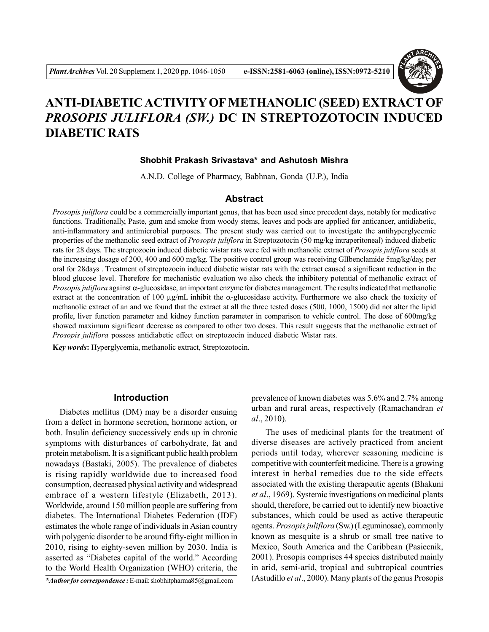

# **ANTI-DIABETIC ACTIVITY OF METHANOLIC (SEED) EXTRACT OF** *PROSOPIS JULIFLORA (SW.)* **DC IN STREPTOZOTOCIN INDUCED DIABETIC RATS**

## **Shobhit Prakash Srivastava\* and Ashutosh Mishra**

A.N.D. College of Pharmacy, Babhnan, Gonda (U.P.), India

# **Abstract**

*Prosopis juliflora* could be a commercially important genus, that has been used since precedent days, notably for medicative functions. Traditionally, Paste, gum and smoke from woody stems, leaves and pods are applied for anticancer, antidiabetic, anti-inflammatory and antimicrobial purposes. The present study was carried out to investigate the antihyperglycemic properties of the methanolic seed extract of *Prosopis juliflora* in Streptozotocin (50 mg/kg intraperitoneal) induced diabetic rats for 28 days. The streptozocin induced diabetic wistar rats were fed with methanolic extract of *Prosopis juliflora* seeds at the increasing dosage of 200, 400 and 600 mg/kg. The positive control group was receiving GlIbenclamide 5mg/kg/day, per oral for 28days . Treatment of streptozocin induced diabetic wistar rats with the extract caused a significant reduction in the blood glucose level. Therefore for mechanistic evaluation we also check the inhibitory potential of methanolic extract of *Prosopis juliflora* against  $\alpha$ -glucosidase, an important enzyme for diabetes management. The results indicated that methanolic extract at the concentration of 100  $\mu$ g/mL inhibit the  $\alpha$ -glucosidase activity. Furthermore we also check the toxicity of methanolic extract of an and we found that the extract at all the three tested doses (500, 1000, 1500) did not alter the lipid profile, liver function parameter and kidney function parameter in comparison to vehicle control. The dose of 600mg/kg showed maximum significant decrease as compared to other two doses. This result suggests that the methanolic extract of *Prosopis juliflora* possess antidiabetic effect on streptozocin induced diabetic Wistar rats.

**K***ey words***:** Hyperglycemia, methanolic extract, Streptozotocin.

## **Introduction**

Diabetes mellitus (DM) may be a disorder ensuing from a defect in hormone secretion, hormone action, or both. Insulin deficiency successively ends up in chronic symptoms with disturbances of carbohydrate, fat and protein metabolism. It is a significant public health problem nowadays (Bastaki, 2005). The prevalence of diabetes is rising rapidly worldwide due to increased food consumption, decreased physical activity and widespread embrace of a western lifestyle (Elizabeth, 2013). Worldwide, around 150 million people are suffering from diabetes. The International Diabetes Federation (IDF) estimates the whole range of individuals in Asian country with polygenic disorder to be around fifty-eight million in 2010, rising to eighty-seven million by 2030. India is asserted as "Diabetes capital of the world." According to the World Health Organization (WHO) criteria, the

*\*Author for correspondence :* E-mail: shobhitpharma85@gmail.com

prevalence of known diabetes was 5.6% and 2.7% among urban and rural areas, respectively (Ramachandran *et al*., 2010).

The uses of medicinal plants for the treatment of diverse diseases are actively practiced from ancient periods until today, wherever seasoning medicine is competitive with counterfeit medicine. There is a growing interest in herbal remedies due to the side effects associated with the existing therapeutic agents (Bhakuni *et al*., 1969). Systemic investigations on medicinal plants should, therefore, be carried out to identify new bioactive substances, which could be used as active therapeutic agents. *Prosopis juliflora* (Sw.) (Leguminosae), commonly known as mesquite is a shrub or small tree native to Mexico, South America and the Caribbean (Pasiecnik, 2001). Prosopis comprises 44 species distributed mainly in arid, semi-arid, tropical and subtropical countries (Astudillo *et al*., 2000). Many plants of the genus Prosopis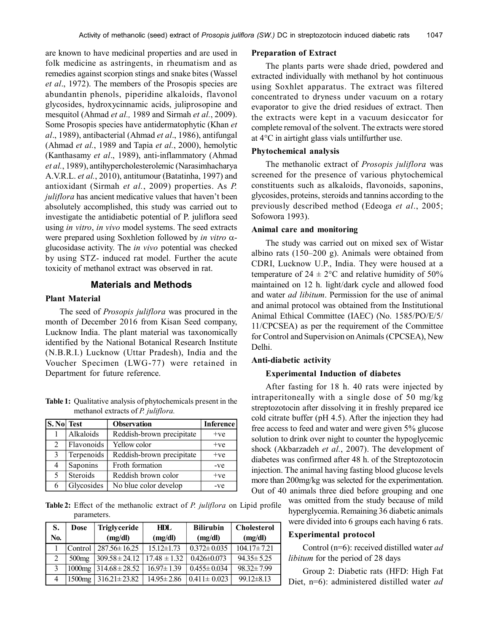are known to have medicinal properties and are used in folk medicine as astringents, in rheumatism and as remedies against scorpion stings and snake bites (Wassel *et al*., 1972). The members of the Prosopis species are abundantin phenols, piperidine alkaloids, flavonol glycosides, hydroxycinnamic acids, juliprosopine and mesquitol (Ahmad *et al.,* 1989 and Sirmah *et al.*, 2009). Some Prosopis species have antidermatophytic (Khan *et al*., 1989), antibacterial (Ahmad *et al*., 1986), antifungal (Ahmad *et al.*, 1989 and Tapia *et al.*, 2000), hemolytic (Kanthasamy *et al*., 1989), anti-inflammatory (Ahmad *et al.*, 1989), antihypercholesterolemic (Narasimhacharya A.V.R.L. *et al.*, 2010), antitumour (Batatinha, 1997) and antioxidant (Sirmah *et al.*, 2009) properties. As *P. juliflora* has ancient medicative values that haven't been absolutely accomplished, this study was carried out to investigate the antidiabetic potential of P. juliflora seed using *in vitro*, *in vivo* model systems. The seed extracts were prepared using Soxhletion followed by *in vitro*  $\alpha$ glucosidase activity. The *in vivo* potential was checked by using STZ- induced rat model. Further the acute toxicity of methanol extract was observed in rat.

#### **Materials and Methods**

#### **Plant Material**

The seed of *Prosopis juliflora* was procured in the month of December 2016 from Kisan Seed company, Lucknow India. The plant material was taxonomically identified by the National Botanical Research Institute (N.B.R.I.) Lucknow (Uttar Pradesh), India and the Voucher Specimen (LWG-77) were retained in Department for future reference.

**Table 1:** Qualitative analysis of phytochemicals present in the methanol extracts of *P. juliflora.*

| <b>S. No</b> Test           |            | <b>Observation</b>        | <b>Inference</b> |
|-----------------------------|------------|---------------------------|------------------|
|                             | Alkaloids  | Reddish-brown precipitate | $+ve$            |
| $\mathcal{D}_{\mathcal{L}}$ | Flavonoids | Yellow color              | $+ve$            |
| 3                           | Terpenoids | Reddish-brown precipitate | $+ve$            |
| 4                           | Saponins   | Froth formation           | $-ve$            |
| 5                           | Steroids   | Reddish brown color       | $+ve$            |
| 6                           | Glycosides | No blue color develop     | $-ve$            |

**Table 2:** Effect of the methanolic extract of *P. juliflora* on Lipid profile parameters.

| S.            | Dose              | <b>Triglyceride</b> | HDL              |                   | <b>Cholesterol</b> |  |
|---------------|-------------------|---------------------|------------------|-------------------|--------------------|--|
| No.           |                   | (mg/dl)             | (mg/dl)          | (mg/dl)           | (mg/dl)            |  |
|               | Control           | $287.56 \pm 16.25$  | $15.12 \pm 1.73$ | $0.372 \pm 0.035$ | $104.17 \pm 7.21$  |  |
| 2             | 500 <sub>mg</sub> | $309.58 \pm 24.12$  | $17.48 \pm 1.32$ | $0.426 \pm 0.073$ | $94.35 \pm 5.25$   |  |
| $\mathcal{E}$ | $1000$ mg         | $314.68 \pm 28.52$  | $16.97 \pm 1.39$ | $0.455 \pm 0.034$ | $98.32 \pm 7.99$   |  |
|               | 1500mg            | $316.21 \pm 23.82$  | $14.95 \pm 2.86$ | $0.411 \pm 0.023$ | $99.12 \pm 8.13$   |  |

#### **Preparation of Extract**

The plants parts were shade dried, powdered and extracted individually with methanol by hot continuous using Soxhlet apparatus. The extract was filtered concentrated to dryness under vacuum on a rotary evaporator to give the dried residues of extract. Then the extracts were kept in a vacuum desiccator for complete removal of the solvent. The extracts were stored at 4°C in airtight glass vials untilfurther use.

#### **Phytochemical analysis**

The methanolic extract of *Prosopis juliflora* was screened for the presence of various phytochemical constituents such as alkaloids, flavonoids, saponins, glycosides, proteins, steroids and tannins according to the previously described method (Edeoga *et al*., 2005; Sofowora 1993).

#### **Animal care and monitoring**

The study was carried out on mixed sex of Wistar albino rats (150–200 g). Animals were obtained from CDRI, Lucknow U.P., India. They were housed at a temperature of  $24 \pm 2$ °C and relative humidity of 50% maintained on 12 h. light/dark cycle and allowed food and water *ad libitum*. Permission for the use of animal and animal protocol was obtained from the Institutional Animal Ethical Committee (IAEC) (No. 1585/PO/E/5/ 11/CPCSEA) as per the requirement of the Committee for Control and Supervision on Animals (CPCSEA), New Delhi.

#### **Anti-diabetic activity**

# **Experimental Induction of diabetes**

After fasting for 18 h. 40 rats were injected by intraperitoneally with a single dose of 50 mg/kg streptozotocin after dissolving it in freshly prepared ice cold citrate buffer (pH 4.5). After the injection they had free access to feed and water and were given 5% glucose solution to drink over night to counter the hypoglycemic shock (Akbarzadeh *et al.*, 2007). The development of diabetes was confirmed after 48 h. of the Streptozotocin injection. The animal having fasting blood glucose levels more than 200mg/kg was selected for the experimentation. Out of 40 animals three died before grouping and one

was omitted from the study because of mild hyperglycemia. Remaining 36 diabetic animals were divided into 6 groups each having 6 rats.

# **Experimental protocol**

Control (n=6): received distilled water *ad libitum* for the period of 28 days

Group 2: Diabetic rats (HFD: High Fat Diet, n=6): administered distilled water *ad*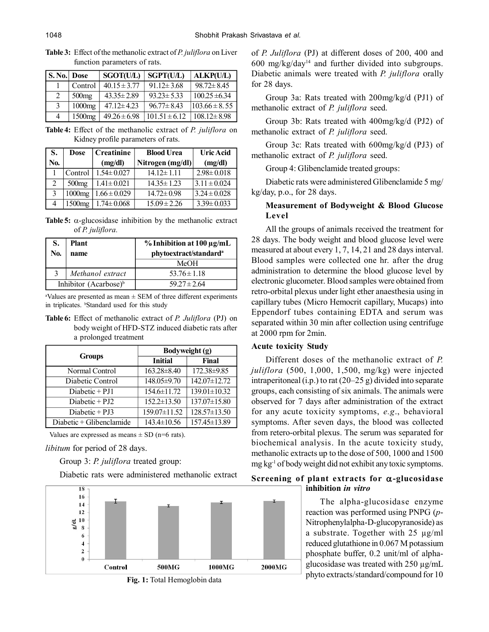| <b>S. No. Dose</b> |                   | <b>SGOT(U/L)</b> | SGPT(U/L)                | <b>ALKP(U/L)</b>  |
|--------------------|-------------------|------------------|--------------------------|-------------------|
|                    | Control           | $40.15 \pm 3.77$ | $91.12 \pm 3.68$         | $98.72 \pm 8.45$  |
| $\mathfrak{D}$     | 500 <sub>mg</sub> | $43.35 \pm 2.89$ | $93.23 \pm 5.33$         | $100.25 \pm 6.34$ |
| $\mathcal{R}$      | $1000$ mg         | $47.12 \pm 4.23$ | $96.77 \pm 8.43$         | $103.66 \pm 8.55$ |
| $\overline{4}$     | $1500$ mg         | $49.26 \pm 6.98$ | $\sqrt{101.51} \pm 6.12$ | $108.12 \pm 8.98$ |

**Table 3:** Effect of the methanolic extract of *P. juliflora* on Liver function parameters of rats.

**Table 4:** Effect of the methanolic extract of *P. juliflora* on Kidney profile parameters of rats.

| S.            | Dose               | <b>Creatinine</b> | <b>Blood Urea</b> | <b>Uric Acid</b> |  |
|---------------|--------------------|-------------------|-------------------|------------------|--|
| No.           |                    | (mg/dl)           | Nitrogen (mg/dl)  | (mg/dl)          |  |
|               | Control            | $1.54 \pm 0.027$  | $14.12 \pm 1.11$  | $2.98 \pm 0.018$ |  |
| 2             | 500 <sub>mg</sub>  | $1.41 \pm 0.021$  | $14.35 \pm 1.23$  | $3.11 \pm 0.024$ |  |
| $\mathcal{E}$ | 1000mg             | $1.66 \pm 0.029$  | $14.72 \pm 0.98$  | $3.24 \pm 0.028$ |  |
| 4             | 1500 <sub>mg</sub> | $1.74 \pm 0.068$  | $15.09 \pm 2.26$  | $3.39 \pm 0.033$ |  |

**Table 5:**  $\alpha$ -glucosidase inhibition by the methanolic extract of *P. juliflora.*

| S.<br>No.                         | <b>Plant</b><br>name | $%$ Inhibition at 100 µg/mL<br>phytoextract/standard <sup>a</sup> |  |
|-----------------------------------|----------------------|-------------------------------------------------------------------|--|
|                                   |                      | MeOH                                                              |  |
| 3                                 | Methanol extract     | $53.76 \pm 1.18$                                                  |  |
| Inhibitor (Acarbose) <sup>b</sup> |                      | $59.27 \pm 2.64$                                                  |  |

<sup>a</sup>Values are presented as mean  $\pm$  SEM of three different experiments in triplicates. <sup>b</sup>Standard used for this study

**Table 6:** Effect of methanolic extract of *P. Juliflora* (PJ) on body weight of HFD-STZ induced diabetic rats after a prolonged treatment

|                          | Bodyweight (g)    |                |  |
|--------------------------|-------------------|----------------|--|
| <b>Groups</b>            | <b>Initial</b>    | Final          |  |
| Normal Control           | $163.28 \pm 8.40$ | 172.38±9.85    |  |
| Diabetic Control         | 148.05±9.70       | 142.07±12.72   |  |
| Diabetic $+$ PJ1         | $154.6 \pm 11.72$ | 139.01±10.32   |  |
| Diabetic $+$ PJ2         | $152.2 \pm 13.50$ | 137.07±15.80   |  |
| $Diabetic + PJ3$         | 159.07±11.52      | 128.57±13.50   |  |
| Diabetic + Glibenclamide | $143.4 \pm 10.56$ | 157.45 ± 13.89 |  |

Values are expressed as means  $\pm$  SD (n=6 rats).

*libitum* for period of 28 days.

Group 3: *P. juliflora* treated group:

Diabetic rats were administered methanolic extract



**Fig. 1:** Total Hemoglobin data

of *P. Juliflora* (PJ) at different doses of 200, 400 and 600 mg/kg/day<sup>14</sup> and further divided into subgroups. Diabetic animals were treated with *P. juliflora* orally for 28 days.

Group 3a: Rats treated with 200mg/kg/d (PJ1) of methanolic extract of *P. juliflora* seed.

Group 3b: Rats treated with 400mg/kg/d (PJ2) of methanolic extract of *P. juliflora* seed.

Group 3c: Rats treated with 600mg/kg/d (PJ3) of methanolic extract of *P. juliflora* seed.

Group 4: Glibenclamide treated groups:

Diabetic rats were administered Glibenclamide 5 mg/ kg/day, p.o., for 28 days.

# **Measurement of Bodyweight & Blood Glucose Level**

All the groups of animals received the treatment for 28 days. The body weight and blood glucose level were measured at about every 1, 7, 14, 21 and 28 days interval. Blood samples were collected one hr. after the drug administration to determine the blood glucose level by electronic glucometer. Blood samples were obtained from retro-orbital plexus under light ether anaesthesia using in capillary tubes (Micro Hemocrit capillary, Mucaps) into Eppendorf tubes containing EDTA and serum was separated within 30 min after collection using centrifuge at 2000 rpm for 2min.

# **Acute toxicity Study**

Different doses of the methanolic extract of *P. juliflora* (500, 1,000, 1,500, mg/kg) were injected intraperitoneal (i.p.) to rat (20–25 g) divided into separate groups, each consisting of six animals. The animals were observed for 7 days after administration of the extract for any acute toxicity symptoms, *e.g*., behavioral symptoms. After seven days, the blood was collected from retero-orbital plexus. The serum was separated for biochemical analysis. In the acute toxicity study, methanolic extracts up to the dose of 500, 1000 and 1500 mg kg-1 of body weight did not exhibit any toxic symptoms.

# **Screening of plant extracts for -glucosidase inhibition** *in vitro*

The alpha-glucosidase enzyme reaction was performed using PNPG (*p*-Nitrophenylalpha-D-glucopyranoside) as a substrate. Together with 25 µg/ml reduced glutathione in 0.067 M potassium phosphate buffer, 0.2 unit/ml of alphaglucosidase was treated with 250 µg/mL phyto extracts/standard/compound for 10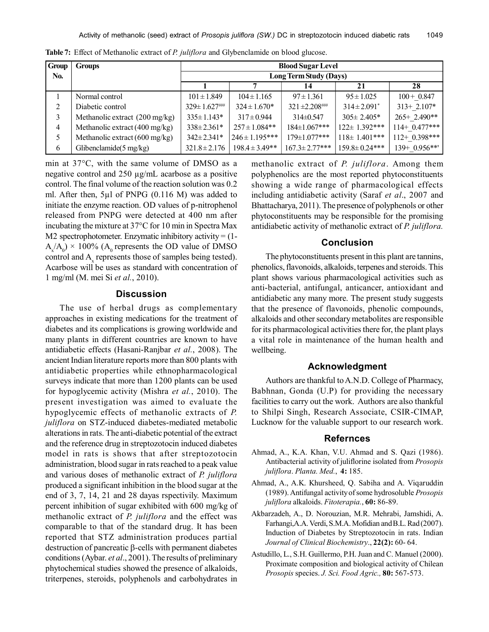| <b>Group</b> | <b>Groups</b>                            | <b>Blood Sugar Level</b> |                    |                     |                     |                 |
|--------------|------------------------------------------|--------------------------|--------------------|---------------------|---------------------|-----------------|
| No.          |                                          | Long Term Study (Days)   |                    |                     |                     |                 |
|              |                                          |                          |                    | 14                  | 21                  | 28              |
|              | Normal control                           | $101 \pm 1.849$          | $104 \pm 1.165$    | $97 \pm 1.361$      | $95 \pm 1.025$      | $100 + 0.847$   |
| 2            | Diabetic control                         |                          | $324 \pm 1.670*$   | $321 \pm 2.208$ ### | $314 \pm 2.091^*$   | $313+2.107*$    |
| 3            | Methanolic extract (200 mg/kg)           | $335 \pm 1.143*$         | $317 \pm 0.944$    | $314\pm 0.547$      | $305 \pm 2.405*$    | 265+2.490**     |
| 4            | Methanolic extract $(400 \text{ mg/kg})$ | $338 \pm 2.361*$         | $257 \pm 1.084**$  | $184 \pm 1.067$ *** | $122 \pm 1.392$ *** | $114+ 0.477***$ |
|              | Methanolic extract $(600 \text{ mg/kg})$ | $342 \pm 2.341*$         | $246 \pm 1.195***$ | 179±1.077***        | $118 \pm 1.401$ *** | $112+0.398***$  |
| 6            | Glibenclamide $(5 \text{ mg/kg})$        | $321.8 \pm 2.176$        | $198.4 \pm 3.49**$ | $167.3 \pm 2.77***$ | $159.8 \pm 0.24***$ | $139+0.956***$  |

**Table 7:** Effect of Methanolic extract of *P. juliflora* and Glybenclamide on blood glucose.

min at 37°C, with the same volume of DMSO as a negative control and 250 µg/mL acarbose as a positive control. The final volume of the reaction solution was 0.2 ml. After then, 5µl of PNPG (0.116 M) was added to initiate the enzyme reaction. OD values of p-nitrophenol released from PNPG were detected at 400 nm after incubating the mixture at 37°C for 10 min in Spectra Max M2 spectrophotometer. Enzymatic inhibitory activity  $= (1 A_{x}/A_{0}$ ) × 100% ( $A_{0}$  represents the OD value of DMSO control and  $A_x$  represents those of samples being tested). Acarbose will be uses as standard with concentration of 1 mg/ml (M. mei Si *et al.*, 2010).

## **Discussion**

The use of herbal drugs as complementary approaches in existing medications for the treatment of diabetes and its complications is growing worldwide and many plants in different countries are known to have antidiabetic effects (Hasani-Ranjbar *et al.*, 2008). The ancient Indian literature reports more than 800 plants with antidiabetic properties while ethnopharmacological surveys indicate that more than 1200 plants can be used for hypoglycemic activity (Mishra *et al.*, 2010). The present investigation was aimed to evaluate the hypoglycemic effects of methanolic extracts of *P. juliflora* on STZ-induced diabetes-mediated metabolic alterations in rats. The anti-diabetic potential of the extract and the reference drug in streptozotocin induced diabetes model in rats is shows that after streptozotocin administration, blood sugar in rats reached to a peak value and various doses of methanolic extract of *P. juliflora* produced a significant inhibition in the blood sugar at the end of 3, 7, 14, 21 and 28 dayas rspectivily. Maximum percent inhibition of sugar exhibited with 600 mg/kg of methanolic extract of *P. juliflora* and the effect was comparable to that of the standard drug. It has been reported that STZ administration produces partial destruction of pancreatic  $\beta$ -cells with permanent diabetes conditions (Aybar. *et al*., 2001). The results of preliminary phytochemical studies showed the presence of alkaloids, triterpenes, steroids, polyphenols and carbohydrates in

methanolic extract of *P. juliflora*. Among them polyphenolics are the most reported phytoconstituents showing a wide range of pharmacological effects including antidiabetic activity (Saraf *et al*., 2007 and Bhattacharya, 2011). The presence of polyphenols or other phytoconstituents may be responsible for the promising antidiabetic activity of methanolic extract of *P. juliflora.*

## **Conclusion**

The phytoconstituents present in this plant are tannins, phenolics, flavonoids, alkaloids, terpenes and steroids. This plant shows various pharmacological activities such as anti-bacterial, antifungal, anticancer, antioxidant and antidiabetic any many more. The present study suggests that the presence of flavonoids, phenolic compounds, alkaloids and other secondary metabolites are responsible for its pharmacological activities there for, the plant plays a vital role in maintenance of the human health and wellbeing.

#### **Acknowledgment**

Authors are thankful to A.N.D. College of Pharmacy, Babhnan, Gonda (U.P) for providing the necessary facilities to carry out the work. Authors are also thankful to Shilpi Singh, Research Associate, CSIR-CIMAP, Lucknow for the valuable support to our research work.

## **Refernces**

- Ahmad, A., K.A. Khan, V.U. Ahmad and S. Qazi (1986). Antibacterial activity of juliflorine isolated from *Prosopis juliflora*. *Planta. Med.*, **4:** 185.
- Ahmad, A., A.K. Khursheed, Q. Sabiha and A. Viqaruddin (1989). Antifungal activity of some hydrosoluble *Prosopis juliflora* alkaloids. *Fitoterapia.*, **60:** 86-89.
- Akbarzadeh, A., D. Norouzian, M.R. Mehrabi, Jamshidi, A. Farhangi,A.A. Verdi, S.M.A. Mofidian and B.L. Rad (2007). Induction of Diabetes by Streptozotocin in rats. Indian *Journal of Clinical Biochemistry*., **22(2):** 60- 64.
- Astudillo, L., S.H. Guillermo, P.H. Juan and C. Manuel (2000). Proximate composition and biological activity of Chilean *Prosopis* species. *J. Sci. Food Agric.,* **80:** 567-573.